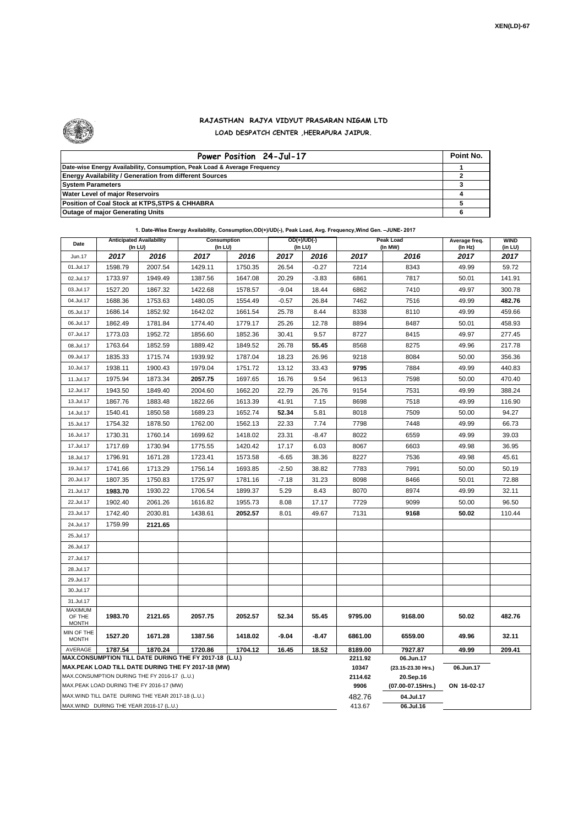

## **RAJASTHAN RAJYA VIDYUT PRASARAN NIGAM LTD LOAD DESPATCH CENTER ,HEERAPURA JAIPUR.**

| Power Position 24-Jul-17                                                  | Point No. |
|---------------------------------------------------------------------------|-----------|
| Date-wise Energy Availability, Consumption, Peak Load & Average Frequency |           |
| <b>Energy Availability / Generation from different Sources</b>            |           |
| <b>System Parameters</b>                                                  |           |
| <b>Water Level of major Reservoirs</b>                                    |           |
| Position of Coal Stock at KTPS, STPS & CHHABRA                            |           |
| <b>Outage of major Generating Units</b>                                   |           |

|  | 1. Date-Wise Energy Availability, Consumption, OD(+)/UD(-), Peak Load, Avg. Frequency, Wind Gen. -JUNE- 2017 |  |
|--|--------------------------------------------------------------------------------------------------------------|--|
|--|--------------------------------------------------------------------------------------------------------------|--|

| Date                       |                                                    | <b>Anticipated Availability</b><br>Consumption<br>$OD(+)/UD(-)$<br>(In LU)<br>(In LU)<br>(In LU) |                                                                                                              |         |           |         |                  | Peak Load<br>(In MW)            | Average freq.<br>(In Hz) | <b>WIND</b><br>(in LU) |  |
|----------------------------|----------------------------------------------------|--------------------------------------------------------------------------------------------------|--------------------------------------------------------------------------------------------------------------|---------|-----------|---------|------------------|---------------------------------|--------------------------|------------------------|--|
| Jun.17                     | 2017                                               | 2016                                                                                             | 2017                                                                                                         | 2016    | 2017      | 2016    | 2017             | 2016                            | 2017                     | 2017                   |  |
| 01.Jul.17                  | 1598.79                                            | 2007.54                                                                                          | 1429.11                                                                                                      | 1750.35 | 26.54     | $-0.27$ | 7214             | 8343                            | 49.99                    |                        |  |
| 02.Jul.17                  | 1733.97                                            | 1949.49                                                                                          | 1387.56                                                                                                      | 1647.08 | 20.29     | $-3.83$ | 6861             | 7817                            | 50.01                    | 141.91                 |  |
| 03.Jul.17                  | 1527.20                                            | 1867.32                                                                                          | 1422.68                                                                                                      | 1578.57 | $-9.04$   | 18.44   | 6862             | 7410                            | 49.97                    | 300.78                 |  |
| 04.Jul.17                  | 1688.36                                            | 1753.63                                                                                          | 1480.05                                                                                                      | 1554.49 | $-0.57$   | 26.84   | 7462             | 7516                            | 49.99                    | 482.76                 |  |
| 05.Jul.17                  | 1686.14                                            | 1852.92                                                                                          | 1642.02                                                                                                      | 1661.54 | 25.78     | 8.44    | 8338             | 8110                            | 49.99                    | 459.66                 |  |
| 06.Jul.17                  | 1862.49                                            | 1781.84                                                                                          | 1774.40                                                                                                      | 1779.17 | 25.26     | 12.78   | 8894             | 8487                            | 50.01                    | 458.93                 |  |
| 07.Jul.17                  | 1773.03                                            | 1952.72                                                                                          | 1856.60                                                                                                      | 1852.36 | 30.41     | 9.57    | 8727             | 8415                            | 49.97                    | 277.45                 |  |
| 08.Jul.17                  | 1763.64                                            | 1852.59                                                                                          | 1889.42                                                                                                      | 1849.52 | 26.78     | 55.45   | 8568             | 8275                            | 49.96                    | 217.78                 |  |
| 09.Jul.17                  | 1835.33                                            | 1715.74                                                                                          | 1939.92                                                                                                      | 1787.04 | 18.23     | 26.96   | 9218             | 8084                            | 50.00                    | 356.36                 |  |
| 10.Jul.17                  | 1938.11                                            | 1900.43                                                                                          | 1979.04                                                                                                      | 1751.72 | 13.12     | 33.43   | 9795             | 7884                            | 49.99                    | 440.83                 |  |
| 11.Jul.17                  | 1975.94                                            | 1873.34                                                                                          | 2057.75                                                                                                      | 1697.65 | 16.76     | 9.54    | 9613             | 7598                            | 50.00                    | 470.40                 |  |
| 12.Jul.17                  | 1943.50                                            | 1849.40                                                                                          | 2004.60                                                                                                      | 1662.20 | 22.79     | 26.76   | 9154             | 7531                            | 49.99                    | 388.24                 |  |
| 13.Jul.17                  | 1867.76                                            | 1883.48                                                                                          | 1822.66                                                                                                      | 1613.39 | 41.91     | 7.15    | 8698             | 7518                            | 49.99                    | 116.90                 |  |
| 14.Jul.17                  | 1540.41                                            | 1850.58                                                                                          | 1689.23                                                                                                      | 1652.74 | 52.34     | 5.81    | 8018             | 7509                            | 50.00                    | 94.27                  |  |
| 15.Jul.17                  | 1754.32                                            | 1878.50                                                                                          | 1762.00                                                                                                      | 1562.13 | 22.33     | 7.74    | 7798             | 7448                            | 49.99                    | 66.73                  |  |
| 16.Jul.17                  | 1730.31                                            | 1760.14                                                                                          | 1699.62                                                                                                      | 1418.02 | 23.31     | $-8.47$ | 8022             | 6559                            | 49.99                    | 39.03                  |  |
| 17.Jul.17                  | 1717.69                                            | 1730.94                                                                                          | 1775.55                                                                                                      | 1420.42 | 17.17     | 6.03    | 8067             | 6603                            | 49.98                    | 36.95                  |  |
| 18.Jul.17                  | 1796.91                                            | 1671.28                                                                                          | 1723.41                                                                                                      | 1573.58 | $-6.65$   | 38.36   | 8227             | 7536                            | 49.98                    | 45.61                  |  |
| 19.Jul.17                  | 1741.66                                            | 1713.29                                                                                          | 1756.14                                                                                                      | 1693.85 | $-2.50$   | 38.82   | 7783             | 7991                            | 50.00                    | 50.19                  |  |
| 20.Jul.17                  | 1807.35                                            | 1750.83                                                                                          | 1725.97                                                                                                      | 1781.16 | $-7.18$   | 31.23   | 8098             | 8466                            | 50.01                    | 72.88                  |  |
| 21.Jul.17                  | 1983.70                                            | 1930.22                                                                                          | 1706.54                                                                                                      | 1899.37 | 5.29      | 8.43    | 8070             | 8974                            | 49.99                    | 32.11                  |  |
| 22.Jul.17                  | 1902.40                                            | 2061.26                                                                                          | 1616.82                                                                                                      | 1955.73 | 8.08      | 17.17   | 7729             | 9099                            | 50.00                    | 96.50                  |  |
| 23.Jul.17                  | 1742.40                                            | 2030.81                                                                                          | 1438.61                                                                                                      | 2052.57 | 8.01      | 49.67   | 7131             | 9168                            | 50.02                    | 110.44                 |  |
| 24.Jul.17                  | 1759.99                                            | 2121.65                                                                                          |                                                                                                              |         |           |         |                  |                                 |                          |                        |  |
| 25.Jul.17                  |                                                    |                                                                                                  |                                                                                                              |         |           |         |                  |                                 |                          |                        |  |
| 26.Jul.17                  |                                                    |                                                                                                  |                                                                                                              |         |           |         |                  |                                 |                          |                        |  |
| 27.Jul.17                  |                                                    |                                                                                                  |                                                                                                              |         |           |         |                  |                                 |                          |                        |  |
| 28.Jul.17                  |                                                    |                                                                                                  |                                                                                                              |         |           |         |                  |                                 |                          |                        |  |
| 29.Jul.17                  |                                                    |                                                                                                  |                                                                                                              |         |           |         |                  |                                 |                          |                        |  |
| 30.Jul.17                  |                                                    |                                                                                                  |                                                                                                              |         |           |         |                  |                                 |                          |                        |  |
| 31.Jul.17                  |                                                    |                                                                                                  |                                                                                                              |         |           |         |                  |                                 |                          |                        |  |
| <b>MAXIMUM</b><br>OF THE   | 1983.70                                            | 2121.65                                                                                          | 2057.75                                                                                                      | 2052.57 | 52.34     | 55.45   | 9795.00          | 9168.00                         | 50.02                    | 482.76                 |  |
| <b>MONTH</b>               |                                                    |                                                                                                  |                                                                                                              |         |           |         |                  |                                 |                          |                        |  |
| MIN OF THE<br><b>MONTH</b> | 1527.20                                            | 1671.28                                                                                          | 1387.56                                                                                                      | 1418.02 | $-9.04$   | -8.47   | 6861.00          | 6559.00                         | 49.96                    | 32.11                  |  |
| AVERAGE                    | 1787.54                                            | 1870.24                                                                                          | 1720.86                                                                                                      | 1704.12 | 16.45     | 18.52   | 8189.00          | 7927.87                         | 49.99                    | 209.41                 |  |
|                            |                                                    |                                                                                                  | MAX.CONSUMPTION TILL DATE DURING THE FY 2017-18 (L.U.)<br>MAX.PEAK LOAD TILL DATE DURING THE FY 2017-18 (MW) |         |           |         | 2211.92<br>10347 | 06.Jun.17<br>(23.15-23.30 Hrs.) | 06.Jun.17                |                        |  |
|                            | MAX.CONSUMPTION DURING THE FY 2016-17 (L.U.)       |                                                                                                  |                                                                                                              |         |           |         | 2114.62          | 20.Sep.16                       |                          |                        |  |
|                            | MAX.PEAK LOAD DURING THE FY 2016-17 (MW)           |                                                                                                  |                                                                                                              |         |           |         | 9906             | (07.00-07.15Hrs.)               | ON 16-02-17              |                        |  |
|                            | MAX. WIND TILL DATE DURING THE YEAR 2017-18 (L.U.) |                                                                                                  |                                                                                                              |         |           |         | 482.76           | 04.Jul.17                       |                          |                        |  |
|                            | MAX.WIND DURING THE YEAR 2016-17 (L.U.)            |                                                                                                  |                                                                                                              | 413.67  | 06.Jul.16 |         |                  |                                 |                          |                        |  |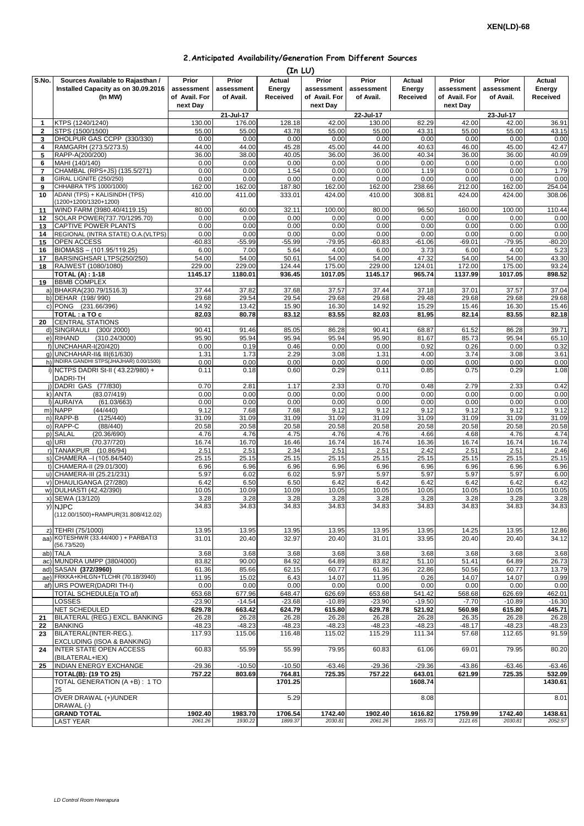## **2.Anticipated Availability/Generation From Different Sources**

|                     |                                                                                    |                                      |                                  |                              | (In LU)                              |                                  |                              |                                      |                                  |                              |
|---------------------|------------------------------------------------------------------------------------|--------------------------------------|----------------------------------|------------------------------|--------------------------------------|----------------------------------|------------------------------|--------------------------------------|----------------------------------|------------------------------|
| S.No.               | Sources Available to Rajasthan /<br>Installed Capacity as on 30.09.2016<br>(In MW) | Prior<br>assessment<br>of Avail. For | Prior<br>assessment<br>of Avail. | Actual<br>Energy<br>Received | Prior<br>assessment<br>of Avail. For | Prior<br>assessment<br>of Avail. | Actual<br>Energy<br>Received | Prior<br>assessment<br>of Avail. For | Prior<br>assessment<br>of Avail. | Actual<br>Energy<br>Received |
|                     |                                                                                    | next Day                             |                                  |                              | next Day                             |                                  |                              | next Day                             |                                  |                              |
| 1                   | KTPS (1240/1240)                                                                   | 130.00                               | 21-Jul-17<br>176.00              | 128.18                       | 42.00                                | 22-Jul-17<br>130.00              | 82.29                        | 42.00                                | 23-Jul-17<br>42.00               | 36.91                        |
| $\overline{2}$      | STPS (1500/1500)                                                                   | 55.00                                | 55.00                            | 43.78                        | 55.00                                | 55.00                            | 43.31                        | 55.00                                | 55.00                            | 43.15                        |
| 3                   | DHOLPUR GAS CCPP (330/330)                                                         | 0.00                                 | 0.00                             | 0.00                         | 0.00                                 | 0.00                             | 0.00                         | 0.00                                 | 0.00                             | 0.00                         |
| 4                   | RAMGARH (273.5/273.5)                                                              | 44.00                                | 44.00                            | 45.28                        | 45.00                                | 44.00                            | 40.63                        | 46.00                                | 45.00                            | 42.47                        |
| 5                   | RAPP-A(200/200)                                                                    | 36.00                                | 38.00                            | 40.05                        | 36.00                                | 36.00                            | 40.34                        | 36.00                                | 36.00                            | 40.09                        |
| 6                   | MAHI (140/140)                                                                     | 0.00                                 | 0.00                             | 0.00                         | 0.00                                 | 0.00                             | 0.00                         | 0.00                                 | 0.00                             | 0.00                         |
| $\overline{7}$<br>8 | CHAMBAL (RPS+JS) (135.5/271)<br>GIRAL LIGNITE (250/250)                            | 0.00<br>0.00                         | 0.00<br>0.00                     | 1.54<br>0.00                 | 0.00<br>0.00                         | 0.00<br>0.00                     | 1.19<br>0.00                 | 0.00<br>0.00                         | 0.00<br>0.00                     | 1.79<br>0.00                 |
| 9                   | CHHABRA TPS 1000/1000)                                                             | 162.00                               | 162.00                           | 187.80                       | 162.00                               | 162.00                           | 238.66                       | 212.00                               | 162.00                           | 254.04                       |
| 10                  | ADANI (TPS) + KALISINDH (TPS)<br>(1200+1200/1320+1200)                             | 410.00                               | 411.00                           | 333.01                       | 424.00                               | 410.00                           | 308.81                       | 424.00                               | 424.00                           | 308.06                       |
| 11<br>12            | WIND FARM (3980.40/4119.15)<br>SOLAR POWER(737.70/1295.70)                         | 80.00<br>0.00                        | 60.00<br>0.00                    | 32.11<br>0.00                | 100.00<br>0.00                       | 80.00<br>0.00                    | 96.50<br>0.00                | 160.00<br>0.00                       | 100.00<br>0.00                   | 110.44<br>0.00               |
| 13                  | CAPTIVE POWER PLANTS                                                               | 0.00                                 | 0.00                             | 0.00                         | 0.00                                 | 0.00                             | 0.00                         | 0.00                                 | 0.00                             | 0.00                         |
| 14                  | REGIONAL (INTRA STATE) O.A. (VLTPS)                                                | 0.00                                 | 0.00                             | 0.00                         | 0.00                                 | 0.00                             | 0.00                         | 0.00                                 | 0.00                             | 0.00                         |
| 15                  | OPEN ACCESS                                                                        | $-60.83$                             | $-55.99$                         | $-55.99$                     | $-79.95$                             | $-60.83$                         | $-61.06$                     | $-69.01$                             | $-79.95$                         | $-80.20$                     |
| 16                  | BIOMASS - (101.95/119.25)                                                          | 6.00                                 | 7.00                             | 5.64                         | 4.00                                 | 6.00                             | 3.73                         | 6.00                                 | 4.00                             | 5.23                         |
| 17                  | BARSINGHSAR LTPS(250/250)                                                          | 54.00                                | 54.00                            | 50.61                        | 54.00                                | 54.00                            | 47.32                        | 54.00                                | 54.00                            | 43.30                        |
| 18                  | RAJWEST (1080/1080)                                                                | 229.00                               | 229.00<br>1180.01                | 124.44                       | 175.00                               | 229.00                           | 124.01                       | 172.00                               | 175.00                           | 93.24                        |
| 19                  | <b>TOTAL (A): 1-18</b><br><b>BBMB COMPLEX</b>                                      | 1145.17                              |                                  | 936.45                       | 1017.05                              | 1145.17                          | 965.74                       | 1137.99                              | 1017.05                          | 898.52                       |
|                     | a) BHAKRA(230.79/1516.3)                                                           | 37.44                                | 37.82                            | 37.68                        | 37.57                                | 37.44                            | 37.18                        | 37.01                                | 37.57                            | 37.04                        |
|                     | b) DEHAR (198/990)                                                                 | 29.68                                | 29.54                            | 29.54                        | 29.68                                | 29.68                            | 29.48                        | 29.68                                | 29.68                            | 29.68                        |
|                     | c) PONG (231.66/396)                                                               | 14.92                                | 13.42                            | 15.90                        | 16.30                                | 14.92                            | 15.29                        | 15.46                                | 16.30                            | 15.46                        |
|                     | TOTAL : a TO c                                                                     | 82.03                                | 80.78                            | 83.12                        | 83.55                                | 82.03                            | 81.95                        | 82.14                                | 83.55                            | 82.18                        |
| 20                  | <b>CENTRAL STATIONS</b>                                                            |                                      |                                  |                              |                                      |                                  |                              |                                      |                                  |                              |
|                     | d) SINGRAULI<br>(300/2000)                                                         | 90.41                                | 91.46                            | 85.05                        | 86.28                                | 90.41                            | 68.87                        | 61.52                                | 86.28                            | 39.71                        |
|                     | e) RIHAND<br>(310.24/3000)<br>f) UNCHAHAR-I(20/420)                                | 95.90<br>0.00                        | 95.94<br>0.19                    | 95.94<br>0.46                | 95.94<br>0.00                        | 95.90<br>0.00                    | 81.67<br>0.92                | 85.73<br>0.26                        | 95.94<br>0.00                    | 65.10<br>0.32                |
|                     | q) UNCHAHAR-II& III(61/630)                                                        | 1.31                                 | 1.73                             | 2.29                         | 3.08                                 | 1.31                             | 4.00                         | 3.74                                 | 3.08                             | 3.61                         |
|                     | h) INDIRA GANDHI STPS(JHAJHAR) 0.00/1500)                                          | 0.00                                 | 0.00                             | 0.00                         | 0.00                                 | 0.00                             | 0.00                         | 0.00                                 | 0.00                             | 0.00                         |
|                     | i) NCTPS DADRI St-II (43.22/980) +<br>DADRI-TH                                     | 0.11                                 | 0.18                             | 0.60                         | 0.29                                 | 0.11                             | 0.85                         | 0.75                                 | 0.29                             | 1.08                         |
|                     | j) DADRI GAS (77/830)                                                              | 0.70                                 | 2.81                             | 1.17                         | 2.33                                 | 0.70                             | 0.48                         | 2.79                                 | 2.33                             | 0.42                         |
|                     | (83.07/419)<br>k) ANTA                                                             | 0.00<br>0.00                         | 0.00<br>0.00                     | 0.00                         | 0.00                                 | 0.00                             | 0.00                         | 0.00                                 | 0.00                             | 0.00                         |
| m)                  | I) AURAIYA<br>(61.03/663)<br><b>NAPP</b><br>(44/440)                               | 9.12                                 | 7.68                             | 0.00<br>7.68                 | 0.00<br>9.12                         | 0.00<br>9.12                     | 0.00<br>9.12                 | 0.00<br>9.12                         | 0.00<br>9.12                     | 0.00<br>9.12                 |
|                     | n) RAPP-B<br>(125/440)                                                             | 31.09                                | 31.09                            | 31.09                        | 31.09                                | 31.09                            | 31.09                        | 31.09                                | 31.09                            | 31.09                        |
|                     | (88/440)<br>o) RAPP-C                                                              | 20.58                                | 20.58                            | 20.58                        | 20.58                                | 20.58                            | 20.58                        | 20.58                                | 20.58                            | 20.58                        |
| p)                  | <b>SALAL</b><br>(20.36/690)                                                        | 4.76                                 | 4.76                             | 4.75                         | 4.76                                 | 4.76                             | 4.66                         | 4.68                                 | 4.76                             | 4.74                         |
| q)                  | <b>URI</b><br>(70.37/720)                                                          | 16.74                                | 16.70                            | 16.46                        | 16.74                                | 16.74                            | 16.36                        | 16.74                                | 16.74                            | 16.74                        |
|                     | r) TANAKPUR (10.86/94)<br>s) CHAMERA - (105.84/540)                                | 2.51<br>25.15                        | 2.51<br>25.15                    | 2.34<br>25.15                | 2.51<br>25.15                        | 2.51                             | 2.42<br>25.15                | 2.51<br>25.15                        | 2.51<br>25.15                    | 2.46<br>25.15                |
| $1$                 | CHAMERA-II (29.01/300)                                                             | 6.96                                 | 6.96                             | 6.96                         | 6.96                                 | 25.15<br>6.96                    | 6.96                         | 6.96                                 | 6.96                             | 6.96                         |
|                     | u) CHAMERA-III (25.21/231)                                                         | 5.97                                 | 6.02                             | 6.02                         | 5.97                                 | 5.97                             | 5.97                         | 5.97                                 | 5.97                             | 6.00                         |
|                     | v) DHAULIGANGA (27/280)                                                            | 6.42                                 | 6.50                             | 6.50                         | 6.42                                 | 6.42                             | 6.42                         | 6.42                                 | 6.42                             | 6.42                         |
| w)                  | DULHASTI (42.42/390)                                                               | 10.05                                | 10.09                            | 10.09                        | 10.05                                | 10.05                            | 10.05                        | 10.05                                | 10.05                            | 10.05                        |
| x)                  | SEWA (13/120)                                                                      | 3.28                                 | 3.28                             | 3.28                         | 3.28                                 | 3.28                             | 3.28                         | 3.28                                 | 3.28                             | 3.28                         |
|                     | y) NJPC<br>(112.00/1500)+RAMPUR(31.808/412.02)                                     | 34.83                                | 34.83                            | 34.83                        | 34.83                                | 34.83                            | 34.83                        | 34.83                                | 34.83                            | 34.83                        |
|                     | z) TEHRI (75/1000)                                                                 | 13.95                                | 13.95                            | 13.95                        | 13.95                                | 13.95                            | 13.95                        | 14.25                                | 13.95                            | 12.86                        |
|                     | aa) KOTESHWR (33.44/400) + PARBATI3                                                | 31.01                                | 20.40                            | 32.97                        | 20.40                                | 31.01                            | 33.95                        | 20.40                                | 20.40                            | 34.12                        |
|                     | (56.73/520)                                                                        |                                      |                                  |                              |                                      |                                  |                              |                                      |                                  |                              |
|                     | ab) TALA<br>ac) MUNDRA UMPP (380/4000)                                             | 3.68<br>83.82                        | 3.68<br>90.00                    | 3.68<br>84.92                | 3.68<br>64.89                        | 3.68<br>83.82                    | 3.68<br>51.10                | 3.68<br>51.41                        | 3.68<br>64.89                    | 3.68<br>26.73                |
|                     | ad) SASAN (372/3960)                                                               | 61.36                                | 85.66                            | 62.15                        | 60.77                                | 61.36                            | 22.86                        | 50.56                                | 60.77                            | 13.79                        |
|                     | ae) FRKKA+KHLGN+TLCHR (70.18/3940)                                                 | 11.95                                | 15.02                            | 6.43                         | 14.07                                | 11.95                            | 0.26                         | 14.07                                | 14.07                            | 0.99                         |
|                     | af) URS POWER(DADRI TH-I)                                                          | 0.00                                 | 0.00                             | 0.00                         | 0.00                                 | 0.00                             | 0.00                         | 0.00                                 | 0.00                             | 0.00                         |
|                     | TOTAL SCHEDULE(a TO af)                                                            | 653.68                               | 677.96                           | 648.47                       | 626.69                               | 653.68                           | 541.42                       | 568.68                               | 626.69                           | 462.01                       |
|                     | LOSSES                                                                             | $-23.90$                             | $-14.54$                         | $-23.68$                     | $-10.89$                             | $-23.90$                         | $-19.50$                     | $-7.70$                              | $-10.89$                         | $-16.30$                     |
|                     | <b>NET SCHEDULED</b>                                                               | 629.78                               | 663.42                           | 624.79                       | 615.80                               | 629.78                           | 521.92                       | 560.98                               | 615.80                           | 445.71                       |
| 21<br>22            | BILATERAL (REG.) EXCL. BANKING<br><b>BANKING</b>                                   | 26.28<br>$-48.23$                    | 26.28<br>$-48.23$                | 26.28<br>$-48.23$            | 26.28<br>$-48.23$                    | 26.28<br>$-48.23$                | 26.28<br>$-48.23$            | 26.35<br>$-48.17$                    | 26.28<br>$-48.23$                | 26.28<br>$-48.23$            |
| 23                  | BILATERAL(INTER-REG.).<br>EXCLUDING (ISOA & BANKING)                               | 117.93                               | 115.06                           | 116.48                       | 115.02                               | 115.29                           | 111.34                       | 57.68                                | 112.65                           | 91.59                        |
| 24                  | <b>INTER STATE OPEN ACCESS</b><br>(BILATERAL+IEX)                                  | 60.83                                | 55.99                            | 55.99                        | 79.95                                | 60.83                            | 61.06                        | 69.01                                | 79.95                            | 80.20                        |
| 25                  | <b>INDIAN ENERGY EXCHANGE</b>                                                      | $-29.36$                             | $-10.50$                         | $-10.50$                     | $-63.46$                             | $-29.36$                         | $-29.36$                     | $-43.86$                             | $-63.46$                         | $-63.46$                     |
|                     | <b>TOTAL(B): (19 TO 25)</b>                                                        | 757.22                               | 803.69                           | 764.81                       | 725.35                               | 757.22                           | 643.01                       | 621.99                               | 725.35                           | 532.09                       |
|                     | TOTAL GENERATION (A +B): 1 TO<br>25<br>OVER DRAWAL (+)/UNDER                       |                                      |                                  | 1701.25<br>5.29              |                                      |                                  | 1608.74<br>8.08              |                                      |                                  | 1430.61<br>8.01              |
|                     | DRAWAL (-)<br><b>GRAND TOTAL</b>                                                   | 1902.40                              | 1983.70                          | 1706.54                      | 1742.40                              | 1902.40                          | 1616.82                      | 1759.99                              | 1742.40                          | 1438.61                      |
|                     | LAST YEAR                                                                          | 2061.26                              | 1930.22                          | 1899.37                      | 2030.81                              | 2061.26                          | 1955.73                      | 2121.65                              | 2030.81                          | 2052.57                      |
|                     |                                                                                    |                                      |                                  |                              |                                      |                                  |                              |                                      |                                  |                              |